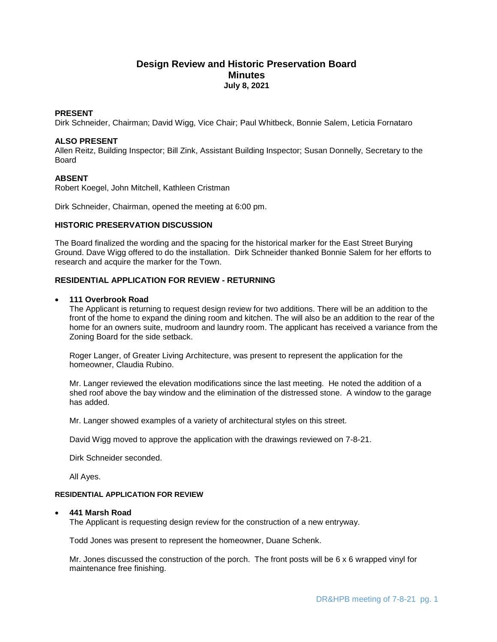# **Design Review and Historic Preservation Board Minutes July 8, 2021**

## **PRESENT**

Dirk Schneider, Chairman; David Wigg, Vice Chair; Paul Whitbeck, Bonnie Salem, Leticia Fornataro

#### **ALSO PRESENT**

Allen Reitz, Building Inspector; Bill Zink, Assistant Building Inspector; Susan Donnelly, Secretary to the Board

### **ABSENT**

Robert Koegel, John Mitchell, Kathleen Cristman

Dirk Schneider, Chairman, opened the meeting at 6:00 pm.

#### **HISTORIC PRESERVATION DISCUSSION**

The Board finalized the wording and the spacing for the historical marker for the East Street Burying Ground. Dave Wigg offered to do the installation. Dirk Schneider thanked Bonnie Salem for her efforts to research and acquire the marker for the Town.

# **RESIDENTIAL APPLICATION FOR REVIEW - RETURNING**

### **111 Overbrook Road**

The Applicant is returning to request design review for two additions. There will be an addition to the front of the home to expand the dining room and kitchen. The will also be an addition to the rear of the home for an owners suite, mudroom and laundry room. The applicant has received a variance from the Zoning Board for the side setback.

Roger Langer, of Greater Living Architecture, was present to represent the application for the homeowner, Claudia Rubino.

Mr. Langer reviewed the elevation modifications since the last meeting. He noted the addition of a shed roof above the bay window and the elimination of the distressed stone. A window to the garage has added.

Mr. Langer showed examples of a variety of architectural styles on this street.

David Wigg moved to approve the application with the drawings reviewed on 7-8-21.

Dirk Schneider seconded.

All Ayes.

#### **RESIDENTIAL APPLICATION FOR REVIEW**

#### **441 Marsh Road**

The Applicant is requesting design review for the construction of a new entryway.

Todd Jones was present to represent the homeowner, Duane Schenk.

Mr. Jones discussed the construction of the porch. The front posts will be 6 x 6 wrapped vinyl for maintenance free finishing.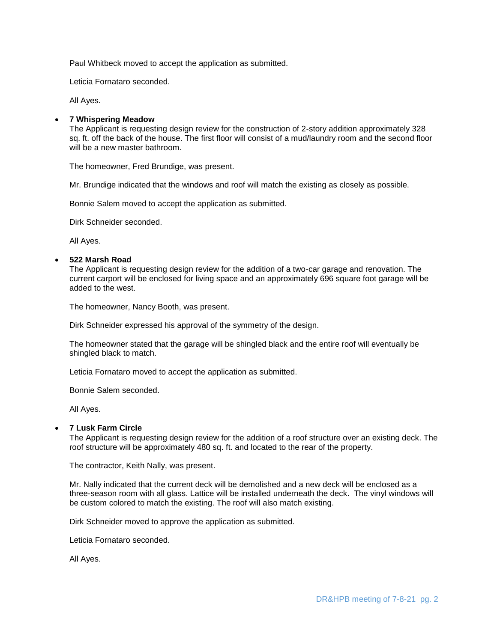Paul Whitbeck moved to accept the application as submitted.

Leticia Fornataro seconded.

All Ayes.

### **7 Whispering Meadow**

The Applicant is requesting design review for the construction of 2-story addition approximately 328 sq. ft. off the back of the house. The first floor will consist of a mud/laundry room and the second floor will be a new master bathroom.

The homeowner, Fred Brundige, was present.

Mr. Brundige indicated that the windows and roof will match the existing as closely as possible.

Bonnie Salem moved to accept the application as submitted.

Dirk Schneider seconded.

All Ayes.

### **522 Marsh Road**

The Applicant is requesting design review for the addition of a two-car garage and renovation. The current carport will be enclosed for living space and an approximately 696 square foot garage will be added to the west.

The homeowner, Nancy Booth, was present.

Dirk Schneider expressed his approval of the symmetry of the design.

The homeowner stated that the garage will be shingled black and the entire roof will eventually be shingled black to match.

Leticia Fornataro moved to accept the application as submitted.

Bonnie Salem seconded.

All Ayes.

#### **7 Lusk Farm Circle**

The Applicant is requesting design review for the addition of a roof structure over an existing deck. The roof structure will be approximately 480 sq. ft. and located to the rear of the property.

The contractor, Keith Nally, was present.

Mr. Nally indicated that the current deck will be demolished and a new deck will be enclosed as a three-season room with all glass. Lattice will be installed underneath the deck. The vinyl windows will be custom colored to match the existing. The roof will also match existing.

Dirk Schneider moved to approve the application as submitted.

Leticia Fornataro seconded.

All Ayes.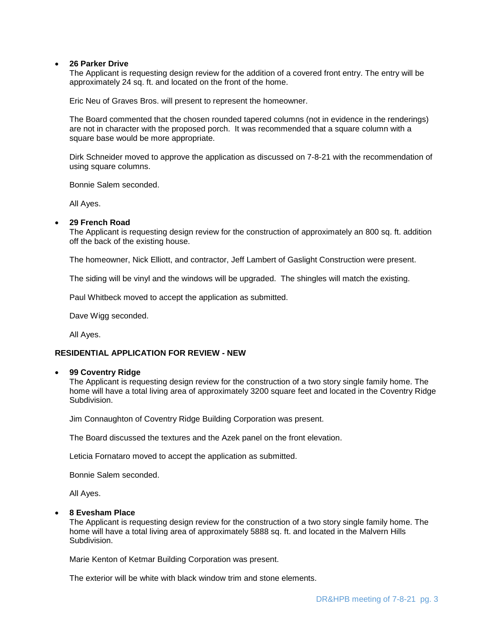#### **26 Parker Drive**

The Applicant is requesting design review for the addition of a covered front entry. The entry will be approximately 24 sq. ft. and located on the front of the home.

Eric Neu of Graves Bros. will present to represent the homeowner.

The Board commented that the chosen rounded tapered columns (not in evidence in the renderings) are not in character with the proposed porch. It was recommended that a square column with a square base would be more appropriate.

Dirk Schneider moved to approve the application as discussed on 7-8-21 with the recommendation of using square columns.

Bonnie Salem seconded.

All Ayes.

#### **29 French Road**

The Applicant is requesting design review for the construction of approximately an 800 sq. ft. addition off the back of the existing house.

The homeowner, Nick Elliott, and contractor, Jeff Lambert of Gaslight Construction were present.

The siding will be vinyl and the windows will be upgraded. The shingles will match the existing.

Paul Whitbeck moved to accept the application as submitted.

Dave Wigg seconded.

All Ayes.

### **RESIDENTIAL APPLICATION FOR REVIEW - NEW**

#### **99 Coventry Ridge**

The Applicant is requesting design review for the construction of a two story single family home. The home will have a total living area of approximately 3200 square feet and located in the Coventry Ridge Subdivision.

Jim Connaughton of Coventry Ridge Building Corporation was present.

The Board discussed the textures and the Azek panel on the front elevation.

Leticia Fornataro moved to accept the application as submitted.

Bonnie Salem seconded.

All Ayes.

#### **8 Evesham Place**

The Applicant is requesting design review for the construction of a two story single family home. The home will have a total living area of approximately 5888 sq. ft. and located in the Malvern Hills Subdivision.

Marie Kenton of Ketmar Building Corporation was present.

The exterior will be white with black window trim and stone elements.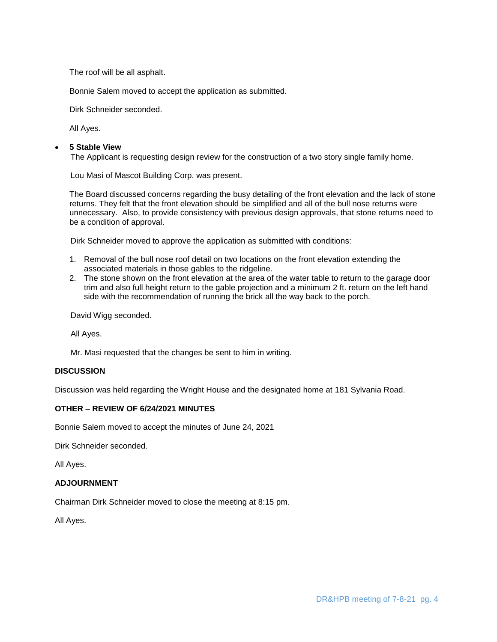The roof will be all asphalt.

Bonnie Salem moved to accept the application as submitted.

Dirk Schneider seconded.

All Ayes.

## **5 Stable View**

The Applicant is requesting design review for the construction of a two story single family home.

Lou Masi of Mascot Building Corp. was present.

The Board discussed concerns regarding the busy detailing of the front elevation and the lack of stone returns. They felt that the front elevation should be simplified and all of the bull nose returns were unnecessary. Also, to provide consistency with previous design approvals, that stone returns need to be a condition of approval.

Dirk Schneider moved to approve the application as submitted with conditions:

- 1. Removal of the bull nose roof detail on two locations on the front elevation extending the associated materials in those gables to the ridgeline.
- 2. The stone shown on the front elevation at the area of the water table to return to the garage door trim and also full height return to the gable projection and a minimum 2 ft. return on the left hand side with the recommendation of running the brick all the way back to the porch.

David Wigg seconded.

All Ayes.

Mr. Masi requested that the changes be sent to him in writing.

# **DISCUSSION**

Discussion was held regarding the Wright House and the designated home at 181 Sylvania Road.

# **OTHER – REVIEW OF 6/24/2021 MINUTES**

Bonnie Salem moved to accept the minutes of June 24, 2021

Dirk Schneider seconded.

All Ayes.

# **ADJOURNMENT**

Chairman Dirk Schneider moved to close the meeting at 8:15 pm.

All Ayes.